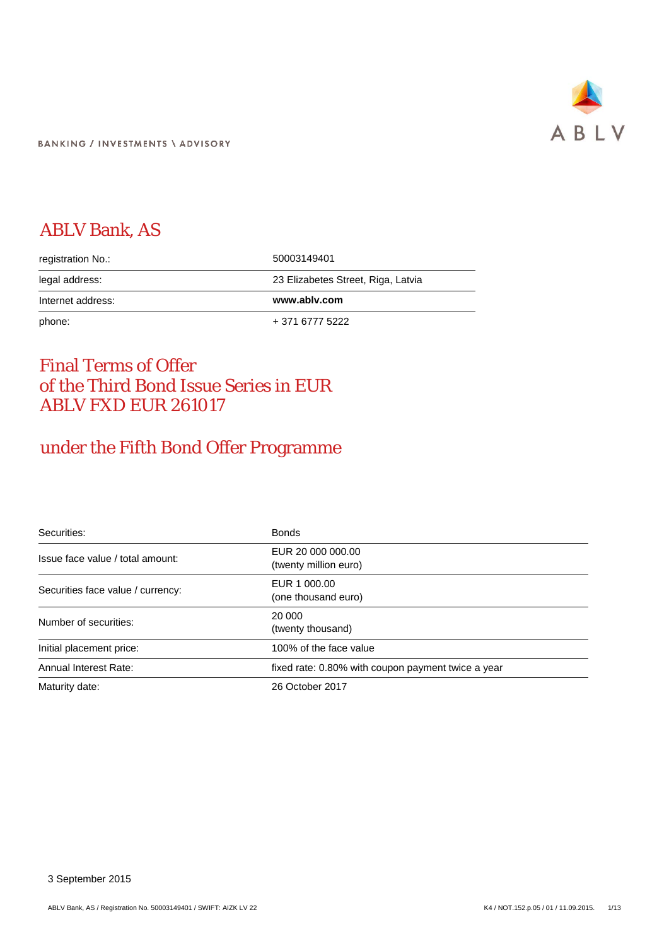

# ABLV Bank, AS

| registration No.: | 50003149401                        |
|-------------------|------------------------------------|
| legal address:    | 23 Elizabetes Street, Riga, Latvia |
|                   |                                    |
| Internet address: | www.ablv.com                       |

# Final Terms of Offer of the Third Bond Issue Series in EUR ABLV FXD EUR 261017

# under the Fifth Bond Offer Programme

| Securities:                       | <b>Bonds</b>                                       |
|-----------------------------------|----------------------------------------------------|
| Issue face value / total amount:  | EUR 20 000 000.00<br>(twenty million euro)         |
| Securities face value / currency: | EUR 1 000.00<br>(one thousand euro)                |
| Number of securities:             | 20 000<br>(twenty thousand)                        |
| Initial placement price:          | 100% of the face value                             |
| Annual Interest Rate:             | fixed rate: 0.80% with coupon payment twice a year |
| Maturity date:                    | 26 October 2017                                    |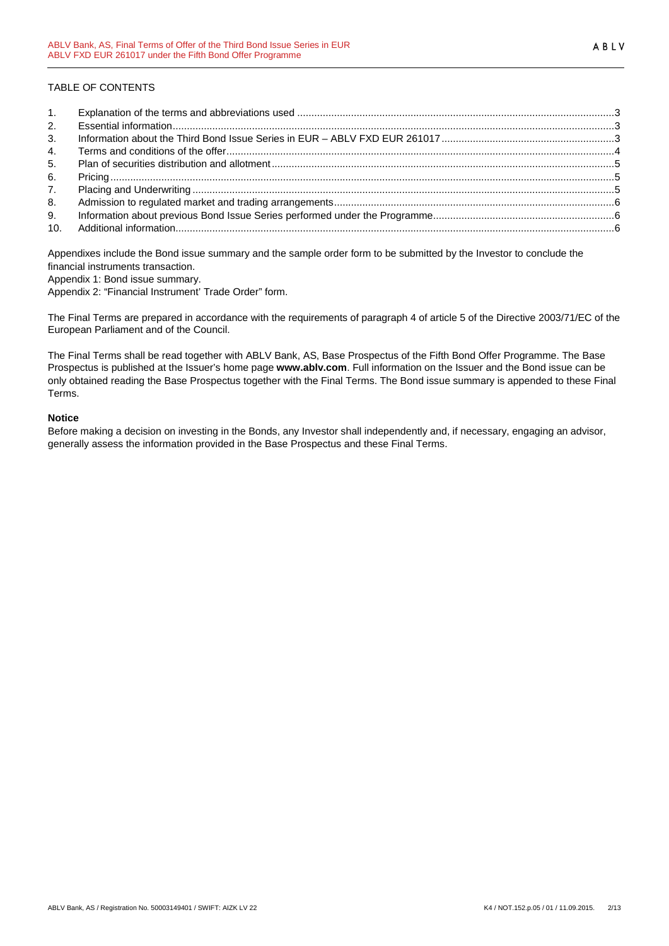# TABLE OF CONTENTS

| 1. |  |
|----|--|
| 2. |  |
| 3. |  |
| 4. |  |
| 5. |  |
| 6. |  |
| 7. |  |
| 8. |  |
| 9. |  |
|    |  |

Appendixes include the Bond issue summary and the sample order form to be submitted by the Investor to conclude the financial instruments transaction.

Appendix 1: Bond issue summary.

Appendix 2: "Financial Instrument' Trade Order" form.

The Final Terms are prepared in accordance with the requirements of paragraph 4 of article 5 of the Directive 2003/71/EC of the European Parliament and of the Council.

The Final Terms shall be read together with ABLV Bank, AS, Base Prospectus of the Fifth Bond Offer Programme. The Base Prospectus is published at the Issuer's home page **www.ablv.com**. Full information on the Issuer and the Bond issue can be only obtained reading the Base Prospectus together with the Final Terms. The Bond issue summary is appended to these Final Terms.

#### **Notice**

Before making a decision on investing in the Bonds, any Investor shall independently and, if necessary, engaging an advisor, generally assess the information provided in the Base Prospectus and these Final Terms.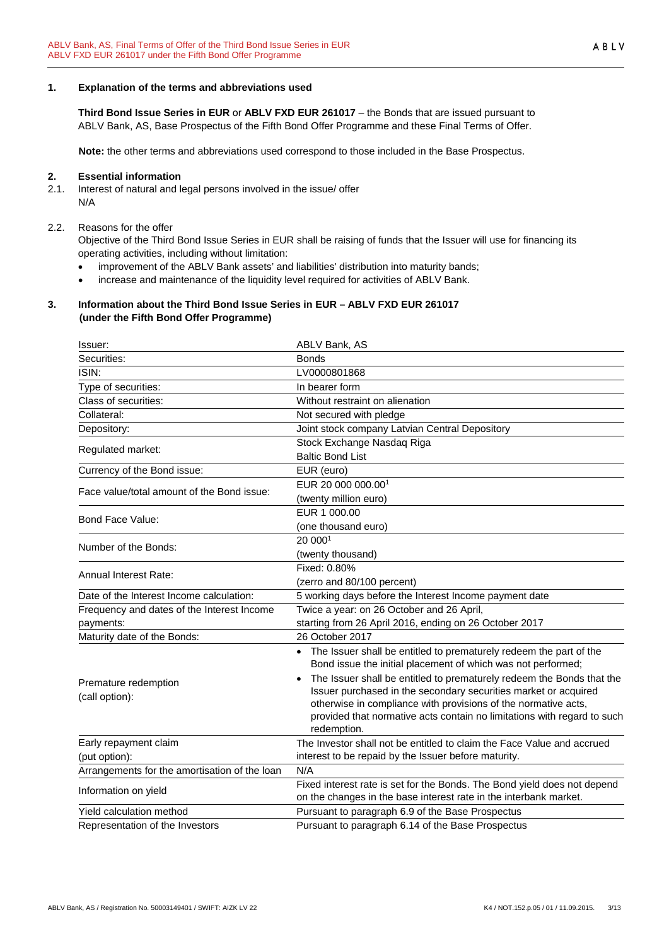### <span id="page-2-0"></span>**1. Explanation of the terms and abbreviations used**

**Third Bond Issue Series in EUR** or **ABLV FXD EUR 261017** – the Bonds that are issued pursuant to ABLV Bank, AS, Base Prospectus of the Fifth Bond Offer Programme and these Final Terms of Offer.

**Note:** the other terms and abbreviations used correspond to those included in the Base Prospectus.

#### <span id="page-2-1"></span>**2. Essential information**

2.1. Interest of natural and legal persons involved in the issue/ offer N/A

#### 2.2. Reasons for the offer

Objective of the Third Bond Issue Series in EUR shall be raising of funds that the Issuer will use for financing its operating activities, including without limitation:

- improvement of the ABLV Bank assets' and liabilities' distribution into maturity bands;
- increase and maintenance of the liquidity level required for activities of ABLV Bank.

### <span id="page-2-2"></span>**3. Information about the Third Bond Issue Series in EUR – ABLV FXD EUR 261017 (under the Fifth Bond Offer Programme)**

| Issuer:                                       | ABLV Bank, AS                                                                                                                        |
|-----------------------------------------------|--------------------------------------------------------------------------------------------------------------------------------------|
| Securities:                                   | <b>Bonds</b>                                                                                                                         |
| ISIN:                                         | LV0000801868                                                                                                                         |
| Type of securities:                           | In bearer form                                                                                                                       |
| Class of securities:                          | Without restraint on alienation                                                                                                      |
| Collateral:                                   | Not secured with pledge                                                                                                              |
| Depository:                                   | Joint stock company Latvian Central Depository                                                                                       |
| Regulated market:                             | Stock Exchange Nasdaq Riga                                                                                                           |
|                                               | <b>Baltic Bond List</b>                                                                                                              |
| Currency of the Bond issue:                   | EUR (euro)                                                                                                                           |
| Face value/total amount of the Bond issue:    | EUR 20 000 000.001                                                                                                                   |
|                                               | (twenty million euro)                                                                                                                |
| Bond Face Value:                              | EUR 1 000.00                                                                                                                         |
|                                               | (one thousand euro)                                                                                                                  |
| Number of the Bonds:                          | 20 0001                                                                                                                              |
|                                               | (twenty thousand)                                                                                                                    |
| <b>Annual Interest Rate:</b>                  | Fixed: 0.80%                                                                                                                         |
|                                               | (zerro and 80/100 percent)                                                                                                           |
| Date of the Interest Income calculation:      | 5 working days before the Interest Income payment date                                                                               |
| Frequency and dates of the Interest Income    | Twice a year: on 26 October and 26 April,                                                                                            |
| payments:                                     | starting from 26 April 2016, ending on 26 October 2017                                                                               |
| Maturity date of the Bonds:                   | 26 October 2017                                                                                                                      |
|                                               | • The Issuer shall be entitled to prematurely redeem the part of the<br>Bond issue the initial placement of which was not performed; |
| Premature redemption                          | The Issuer shall be entitled to prematurely redeem the Bonds that the                                                                |
| (call option):                                | Issuer purchased in the secondary securities market or acquired                                                                      |
|                                               | otherwise in compliance with provisions of the normative acts,                                                                       |
|                                               | provided that normative acts contain no limitations with regard to such<br>redemption.                                               |
| Early repayment claim                         | The Investor shall not be entitled to claim the Face Value and accrued                                                               |
| (put option):                                 | interest to be repaid by the Issuer before maturity.                                                                                 |
| Arrangements for the amortisation of the loan | N/A                                                                                                                                  |
|                                               | Fixed interest rate is set for the Bonds. The Bond yield does not depend                                                             |
| Information on yield                          | on the changes in the base interest rate in the interbank market.                                                                    |
| Yield calculation method                      | Pursuant to paragraph 6.9 of the Base Prospectus                                                                                     |
| Representation of the Investors               | Pursuant to paragraph 6.14 of the Base Prospectus                                                                                    |
|                                               |                                                                                                                                      |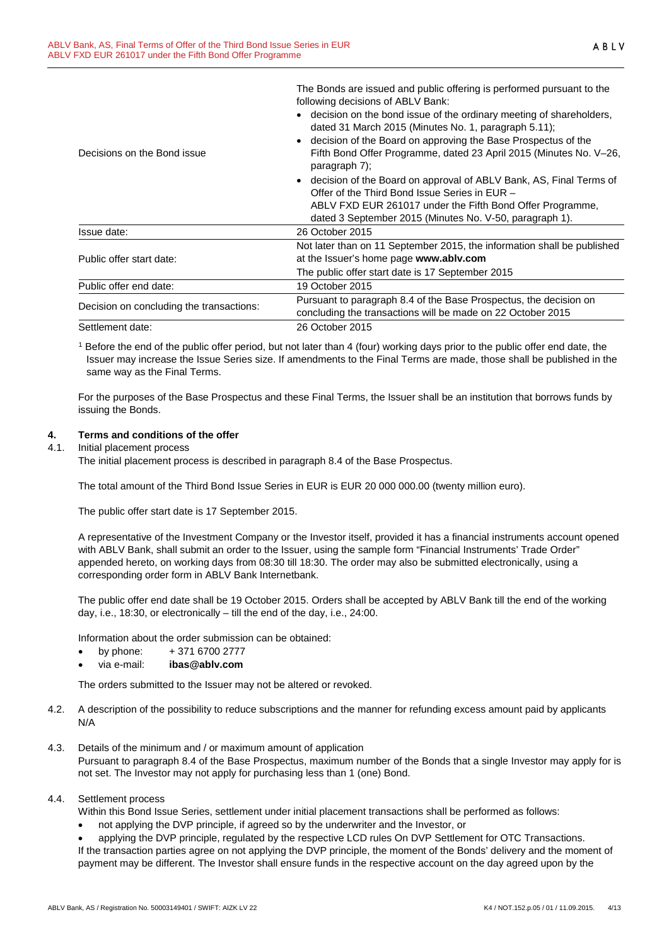The Bonds are issued and public offering is performed pursuant to the following decisions of ABLV Bank:

|                                          | • decision on the bond issue of the ordinary meeting of shareholders,<br>dated 31 March 2015 (Minutes No. 1, paragraph 5.11);       |  |  |  |
|------------------------------------------|-------------------------------------------------------------------------------------------------------------------------------------|--|--|--|
| Decisions on the Bond issue              | decision of the Board on approving the Base Prospectus of the<br>Fifth Bond Offer Programme, dated 23 April 2015 (Minutes No. V-26, |  |  |  |
|                                          | paragraph 7);                                                                                                                       |  |  |  |
|                                          | • decision of the Board on approval of ABLV Bank, AS, Final Terms of<br>Offer of the Third Bond Issue Series in EUR -               |  |  |  |
|                                          | ABLV FXD EUR 261017 under the Fifth Bond Offer Programme,<br>dated 3 September 2015 (Minutes No. V-50, paragraph 1).                |  |  |  |
| Issue date:                              | 26 October 2015                                                                                                                     |  |  |  |
| Public offer start date:                 | Not later than on 11 September 2015, the information shall be published<br>at the Issuer's home page www.ablv.com                   |  |  |  |
|                                          | The public offer start date is 17 September 2015                                                                                    |  |  |  |
| Public offer end date:                   | 19 October 2015                                                                                                                     |  |  |  |
| Decision on concluding the transactions: | Pursuant to paragraph 8.4 of the Base Prospectus, the decision on                                                                   |  |  |  |
|                                          | concluding the transactions will be made on 22 October 2015                                                                         |  |  |  |
| Settlement date:                         | 26 October 2015                                                                                                                     |  |  |  |

<sup>1</sup> Before the end of the public offer period, but not later than 4 (four) working days prior to the public offer end date, the Issuer may increase the Issue Series size. If amendments to the Final Terms are made, those shall be published in the same way as the Final Terms.

For the purposes of the Base Prospectus and these Final Terms, the Issuer shall be an institution that borrows funds by issuing the Bonds.

## <span id="page-3-0"></span>**4. Terms and conditions of the offer**

## 4.1. Initial placement process

The initial placement process is described in paragraph 8.4 of the Base Prospectus.

The total amount of the Third Bond Issue Series in EUR is EUR 20 000 000.00 (twenty million euro).

The public offer start date is 17 September 2015.

A representative of the Investment Company or the Investor itself, provided it has a financial instruments account opened with ABLV Bank, shall submit an order to the Issuer, using the sample form "Financial Instruments' Trade Order" appended hereto, on working days from 08:30 till 18:30. The order may also be submitted electronically, using a corresponding order form in ABLV Bank Internetbank.

The public offer end date shall be 19 October 2015. Orders shall be accepted by ABLV Bank till the end of the working day, i.e., 18:30, or electronically – till the end of the day, i.e., 24:00.

Information about the order submission can be obtained:

- by phone: + 371 6700 2777
- via e-mail: **ibas@ablv.com**

The orders submitted to the Issuer may not be altered or revoked.

- 4.2. A description of the possibility to reduce subscriptions and the manner for refunding excess amount paid by applicants N/A
- 4.3. Details of the minimum and / or maximum amount of application Pursuant to paragraph 8.4 of the Base Prospectus, maximum number of the Bonds that a single Investor may apply for is not set. The Investor may not apply for purchasing less than 1 (one) Bond.

#### 4.4. Settlement process

Within this Bond Issue Series, settlement under initial placement transactions shall be performed as follows:

• not applying the DVP principle, if agreed so by the underwriter and the Investor, or

• applying the DVP principle, regulated by the respective LCD rules On DVP Settlement for OTC Transactions. If the transaction parties agree on not applying the DVP principle, the moment of the Bonds' delivery and the moment of payment may be different. The Investor shall ensure funds in the respective account on the day agreed upon by the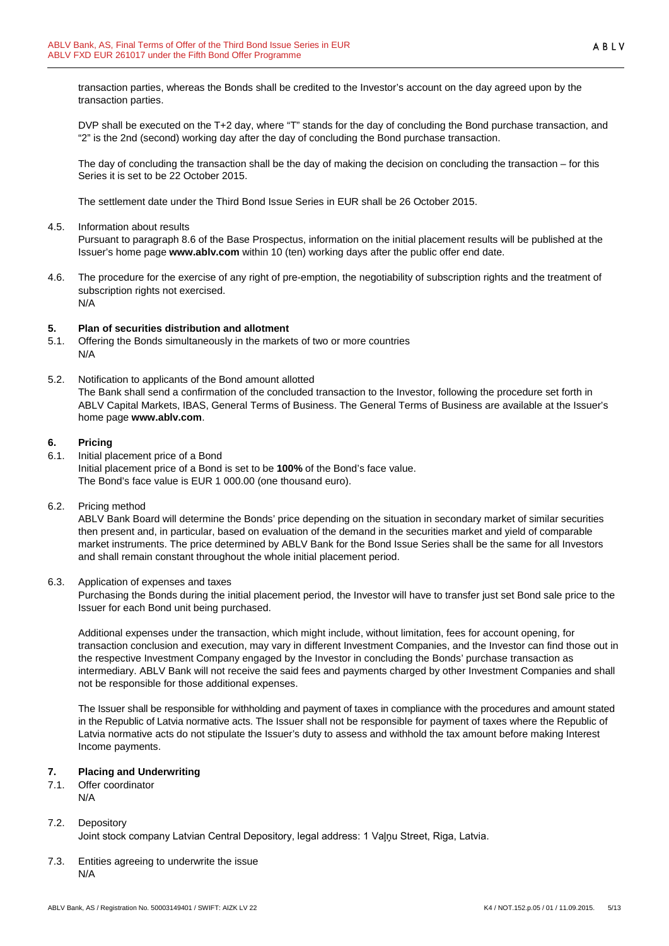transaction parties, whereas the Bonds shall be credited to the Investor's account on the day agreed upon by the transaction parties.

DVP shall be executed on the T+2 day, where "T" stands for the day of concluding the Bond purchase transaction, and "2" is the 2nd (second) working day after the day of concluding the Bond purchase transaction.

The day of concluding the transaction shall be the day of making the decision on concluding the transaction – for this Series it is set to be 22 October 2015.

The settlement date under the Third Bond Issue Series in EUR shall be 26 October 2015.

4.5. Information about results

Pursuant to paragraph 8.6 of the Base Prospectus, information on the initial placement results will be published at the Issuer's home page **www.ablv.com** within 10 (ten) working days after the public offer end date.

4.6. The procedure for the exercise of any right of pre-emption, the negotiability of subscription rights and the treatment of subscription rights not exercised. N/A

## <span id="page-4-0"></span>**5. Plan of securities distribution and allotment**

- 5.1. Offering the Bonds simultaneously in the markets of two or more countries N/A
- 5.2. Notification to applicants of the Bond amount allotted The Bank shall send a confirmation of the concluded transaction to the Investor, following the procedure set forth in ABLV Capital Markets, IBAS, General Terms of Business. The General Terms of Business are available at the Issuer's home page **[www.ablv.com](http://www.ablv.com/)**.

## <span id="page-4-1"></span>**6. Pricing**

- 6.1. Initial placement price of a Bond Initial placement price of a Bond is set to be **100%** of the Bond's face value. The Bond's face value is EUR 1 000.00 (one thousand euro).
- 6.2. Pricing method

ABLV Bank Board will determine the Bonds' price depending on the situation in secondary market of similar securities then present and, in particular, based on evaluation of the demand in the securities market and yield of comparable market instruments. The price determined by ABLV Bank for the Bond Issue Series shall be the same for all Investors and shall remain constant throughout the whole initial placement period.

6.3. Application of expenses and taxes

Purchasing the Bonds during the initial placement period, the Investor will have to transfer just set Bond sale price to the Issuer for each Bond unit being purchased.

Additional expenses under the transaction, which might include, without limitation, fees for account opening, for transaction conclusion and execution, may vary in different Investment Companies, and the Investor can find those out in the respective Investment Company engaged by the Investor in concluding the Bonds' purchase transaction as intermediary. ABLV Bank will not receive the said fees and payments charged by other Investment Companies and shall not be responsible for those additional expenses.

The Issuer shall be responsible for withholding and payment of taxes in compliance with the procedures and amount stated in the Republic of Latvia normative acts. The Issuer shall not be responsible for payment of taxes where the Republic of Latvia normative acts do not stipulate the Issuer's duty to assess and withhold the tax amount before making Interest Income payments.

## <span id="page-4-2"></span>**7. Placing and Underwriting**

7.1. Offer coordinator N/A

## 7.2. Depository

Joint stock company Latvian Central Depository, legal address: 1 Vaļņu Street, Riga, Latvia.

7.3. Entities agreeing to underwrite the issue N/A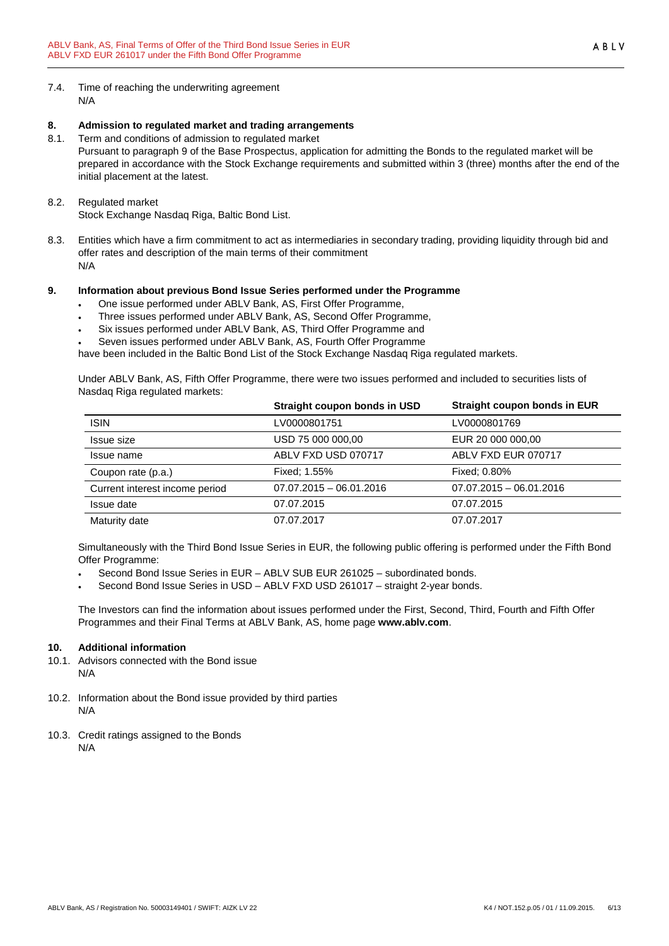7.4. Time of reaching the underwriting agreement N/A

## <span id="page-5-0"></span>**8. Admission to regulated market and trading arrangements**

- 8.1. Term and conditions of admission to regulated market Pursuant to paragraph 9 of the Base Prospectus, application for admitting the Bonds to the regulated market will be prepared in accordance with the Stock Exchange requirements and submitted within 3 (three) months after the end of the initial placement at the latest.
- 8.2. Regulated market Stock Exchange Nasdaq Riga, Baltic Bond List.
- 8.3. Entities which have a firm commitment to act as intermediaries in secondary trading, providing liquidity through bid and offer rates and description of the main terms of their commitment N/A

## <span id="page-5-1"></span>**9. Information about previous Bond Issue Series performed under the Programme**

- One issue performed under ABLV Bank, AS, First Offer Programme,
- Three issues performed under ABLV Bank, AS, Second Offer Programme,
- Six issues performed under ABLV Bank, AS, Third Offer Programme and
- Seven issues performed under ABLV Bank, AS, Fourth Offer Programme

have been included in the Baltic Bond List of the Stock Exchange Nasdaq Riga regulated markets.

Under ABLV Bank, AS, Fifth Offer Programme, there were two issues performed and included to securities lists of Nasdaq Riga regulated markets:

|                                | Straight coupon bonds in USD | Straight coupon bonds in EUR |
|--------------------------------|------------------------------|------------------------------|
| <b>ISIN</b>                    | LV0000801751                 | LV0000801769                 |
| Issue size                     | USD 75 000 000,00            | EUR 20 000 000,00            |
| Issue name                     | ABLV FXD USD 070717          | ABLV FXD EUR 070717          |
| Coupon rate (p.a.)             | Fixed: 1.55%                 | Fixed: 0.80%                 |
| Current interest income period | $07.07.2015 - 06.01.2016$    | $07.07.2015 - 06.01.2016$    |
| Issue date                     | 07.07.2015                   | 07.07.2015                   |
| Maturity date                  | 07.07.2017                   | 07.07.2017                   |

Simultaneously with the Third Bond Issue Series in EUR, the following public offering is performed under the Fifth Bond Offer Programme:

- Second Bond Issue Series in EUR ABLV SUB EUR 261025 subordinated bonds.
- Second Bond Issue Series in USD ABLV FXD USD 261017 straight 2-year bonds.

The Investors can find the information about issues performed under the First, Second, Third, Fourth and Fifth Offer Programmes and their Final Terms at ABLV Bank, AS, home page **[www.ablv.com](http://www.ablv.com/)**.

## <span id="page-5-2"></span>**10. Additional information**

- 10.1. Advisors connected with the Bond issue N/A
- 10.2. Information about the Bond issue provided by third parties N/A
- 10.3. Credit ratings assigned to the Bonds N/A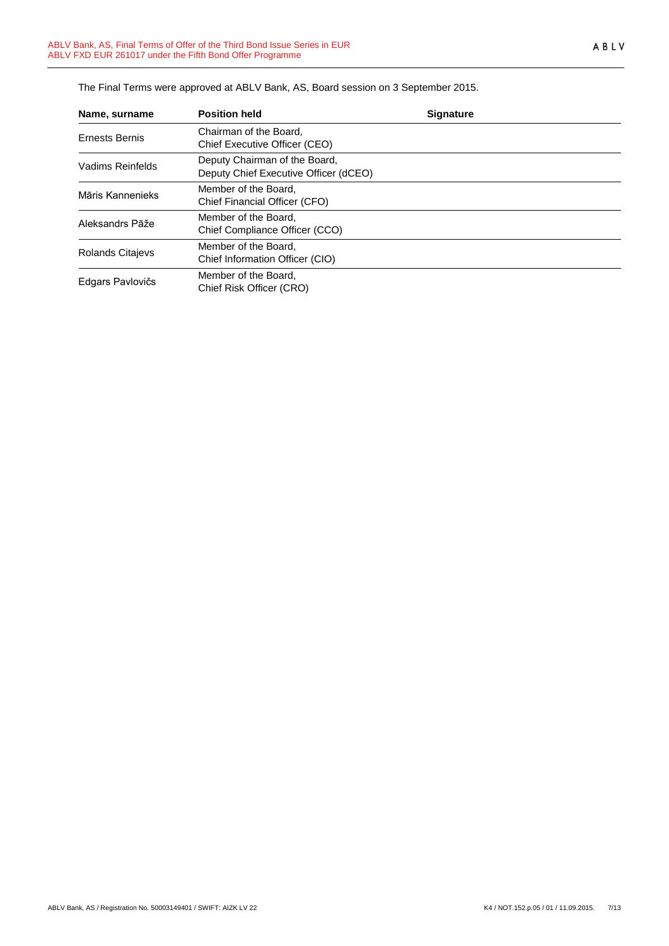| Name, surname           | <b>Position held</b>                                                   | <b>Signature</b> |  |
|-------------------------|------------------------------------------------------------------------|------------------|--|
| <b>Ernests Bernis</b>   | Chairman of the Board,<br>Chief Executive Officer (CEO)                |                  |  |
| Vadims Reinfelds        | Deputy Chairman of the Board,<br>Deputy Chief Executive Officer (dCEO) |                  |  |
| Māris Kannenieks        | Member of the Board,<br>Chief Financial Officer (CFO)                  |                  |  |
| Aleksandrs Pāže         | Member of the Board.<br>Chief Compliance Officer (CCO)                 |                  |  |
| <b>Rolands Citajevs</b> | Member of the Board.<br>Chief Information Officer (CIO)                |                  |  |
| Edgars Pavlovičs        | Member of the Board,<br>Chief Risk Officer (CRO)                       |                  |  |

The Final Terms were approved at ABLV Bank, AS, Board session on 3 September 2015.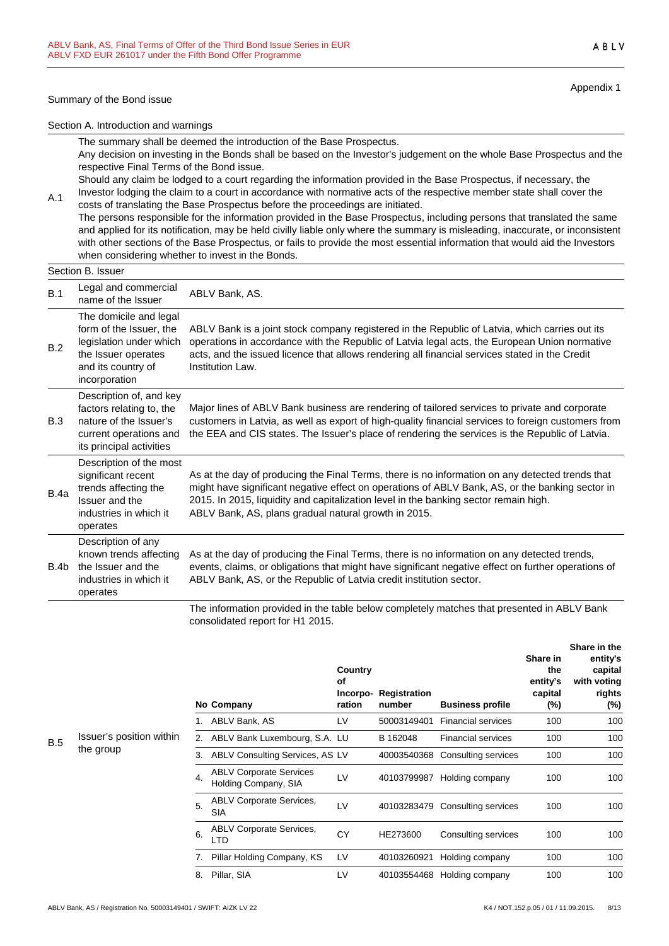#### Summary of the Bond issue

Appendix 1

ABLV

Section A. Introduction and warnings

The summary shall be deemed the introduction of the Base Prospectus. Any decision on investing in the Bonds shall be based on the Investor's judgement on the whole Base Prospectus and the respective Final Terms of the Bond issue.

Should any claim be lodged to a court regarding the information provided in the Base Prospectus, if necessary, the Investor lodging the claim to a court in accordance with normative acts of the respective member state shall cover the

A.1 costs of translating the Base Prospectus before the proceedings are initiated. The persons responsible for the information provided in the Base Prospectus, including persons that translated the same and applied for its notification, may be held civilly liable only where the summary is misleading, inaccurate, or inconsistent with other sections of the Base Prospectus, or fails to provide the most essential information that would aid the Investors when considering whether to invest in the Bonds.

# Section B. Issuer

|      | וסטכפו וטוויסטע                                                                                                                            |                                                                                                                                                                                                                                                                                                                                                    |
|------|--------------------------------------------------------------------------------------------------------------------------------------------|----------------------------------------------------------------------------------------------------------------------------------------------------------------------------------------------------------------------------------------------------------------------------------------------------------------------------------------------------|
| B.1  | Legal and commercial<br>name of the Issuer                                                                                                 | ABLV Bank, AS.                                                                                                                                                                                                                                                                                                                                     |
| B.2  | The domicile and legal<br>form of the Issuer, the<br>legislation under which<br>the Issuer operates<br>and its country of<br>incorporation | ABLV Bank is a joint stock company registered in the Republic of Latvia, which carries out its<br>operations in accordance with the Republic of Latvia legal acts, the European Union normative<br>acts, and the issued licence that allows rendering all financial services stated in the Credit<br>Institution Law.                              |
| B.3  | Description of, and key<br>factors relating to, the<br>nature of the Issuer's<br>current operations and<br>its principal activities        | Major lines of ABLV Bank business are rendering of tailored services to private and corporate<br>customers in Latvia, as well as export of high-quality financial services to foreign customers from<br>the EEA and CIS states. The Issuer's place of rendering the services is the Republic of Latvia.                                            |
| B.4a | Description of the most<br>significant recent<br>trends affecting the<br>Issuer and the<br>industries in which it<br>operates              | As at the day of producing the Final Terms, there is no information on any detected trends that<br>might have significant negative effect on operations of ABLV Bank, AS, or the banking sector in<br>2015. In 2015, liquidity and capitalization level in the banking sector remain high.<br>ABLV Bank, AS, plans gradual natural growth in 2015. |
| B.4b | Description of any<br>known trends affecting<br>the Issuer and the<br>industries in which it<br>operates                                   | As at the day of producing the Final Terms, there is no information on any detected trends,<br>events, claims, or obligations that might have significant negative effect on further operations of<br>ABLV Bank, AS, or the Republic of Latvia credit institution sector.                                                                          |
|      |                                                                                                                                            |                                                                                                                                                                                                                                                                                                                                                    |

The information provided in the table below completely matches that presented in ABLV Bank consolidated report for H1 2015.

|          |    | No Company                                             | Country<br>οf<br>Incorpo-<br>ration | Registration<br>number | <b>Business profile</b>   | Share in<br>the<br>entity's<br>capital<br>$(\%)$ | Share in the<br>entity's<br>capital<br>with voting<br>rights<br>(%) |
|----------|----|--------------------------------------------------------|-------------------------------------|------------------------|---------------------------|--------------------------------------------------|---------------------------------------------------------------------|
|          |    | ABLV Bank, AS                                          | LV                                  | 50003149401            | <b>Financial services</b> | 100                                              | 100                                                                 |
| n within | 2. | ABLV Bank Luxembourg, S.A. LU                          |                                     | B 162048               | <b>Financial services</b> | 100                                              | 100                                                                 |
|          | 3. | ABLV Consulting Services, AS LV                        |                                     | 40003540368            | Consulting services       | 100                                              | 100                                                                 |
|          | 4. | <b>ABLV Corporate Services</b><br>Holding Company, SIA | LV                                  | 40103799987            | Holding company           | 100                                              | 100                                                                 |
|          | 5. | <b>ABLV Corporate Services,</b><br><b>SIA</b>          | LV                                  | 40103283479            | Consulting services       | 100                                              | 100                                                                 |
|          | 6. | <b>ABLV Corporate Services,</b><br>LTD                 | CY                                  | HE273600               | Consulting services       | 100                                              | 100                                                                 |
|          | 7. | Pillar Holding Company, KS                             | LV                                  | 40103260921            | Holding company           | 100                                              | 100                                                                 |
|          | 8. | Pillar, SIA                                            | LV                                  | 40103554468            | Holding company           | 100                                              | 100                                                                 |

#### B.5 Issuer's position the group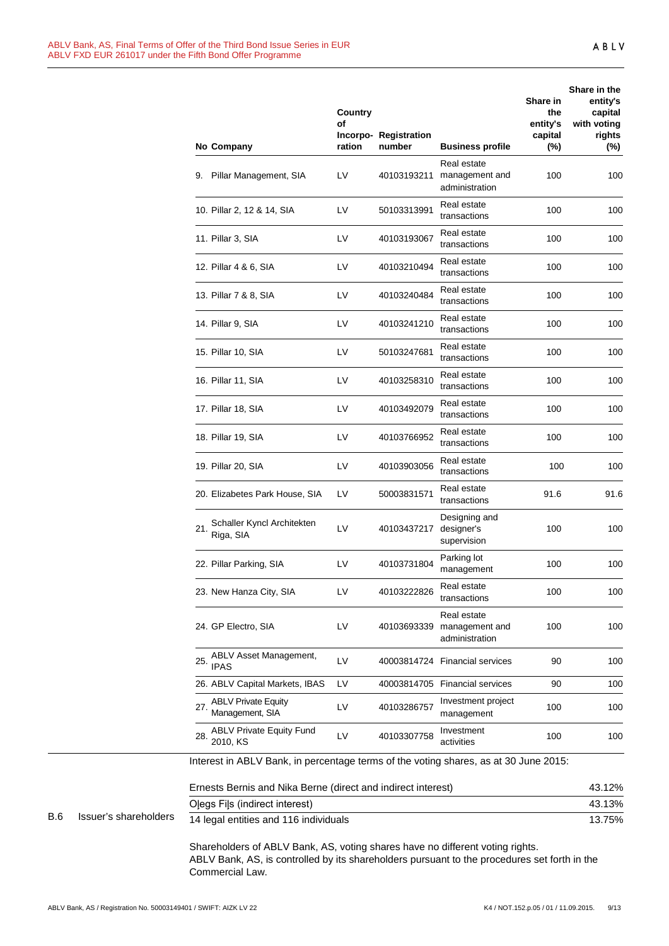|     |                       | No Company                                                                           | Country<br>of<br>ration | Incorpo- Registration<br>number | <b>Business profile</b>                         | Share in<br>the<br>entity's<br>capital<br>(%) | Share in the<br>entity's<br>capital<br>with voting<br>rights<br>(%) |
|-----|-----------------------|--------------------------------------------------------------------------------------|-------------------------|---------------------------------|-------------------------------------------------|-----------------------------------------------|---------------------------------------------------------------------|
|     |                       | 9. Pillar Management, SIA                                                            | LV                      | 40103193211                     | Real estate<br>management and<br>administration | 100                                           | 100                                                                 |
|     |                       | 10. Pillar 2, 12 & 14, SIA                                                           | LV                      | 50103313991                     | Real estate<br>transactions                     | 100                                           | 100                                                                 |
|     |                       | 11. Pillar 3, SIA                                                                    | LV                      | 40103193067                     | Real estate<br>transactions                     | 100                                           | 100                                                                 |
|     |                       | 12. Pillar 4 & 6, SIA                                                                | LV                      | 40103210494                     | Real estate<br>transactions                     | 100                                           | 100                                                                 |
|     |                       | 13. Pillar 7 & 8, SIA                                                                | LV                      | 40103240484                     | Real estate<br>transactions                     | 100                                           | 100                                                                 |
|     |                       | 14. Pillar 9, SIA                                                                    | LV                      | 40103241210                     | Real estate<br>transactions                     | 100                                           | 100                                                                 |
|     |                       | 15. Pillar 10, SIA                                                                   | LV                      | 50103247681                     | Real estate<br>transactions                     | 100                                           | 100                                                                 |
|     |                       | 16. Pillar 11, SIA                                                                   | LV                      | 40103258310                     | Real estate<br>transactions                     | 100                                           | 100                                                                 |
|     |                       | 17. Pillar 18, SIA                                                                   | LV                      | 40103492079                     | Real estate<br>transactions                     | 100                                           | 100                                                                 |
|     |                       | 18. Pillar 19, SIA                                                                   | LV                      | 40103766952                     | Real estate<br>transactions                     | 100                                           | 100                                                                 |
|     |                       | 19. Pillar 20, SIA                                                                   | LV                      | 40103903056                     | Real estate<br>transactions                     | 100                                           | 100                                                                 |
|     |                       | 20. Elizabetes Park House, SIA                                                       | LV                      | 50003831571                     | Real estate<br>transactions                     | 91.6                                          | 91.6                                                                |
|     |                       | Schaller Kyncl Architekten<br>21.<br>Riga, SIA                                       | LV                      | 40103437217                     | Designing and<br>designer's<br>supervision      | 100                                           | 100                                                                 |
|     |                       | 22. Pillar Parking, SIA                                                              | LV                      | 40103731804                     | Parking lot<br>management                       | 100                                           | 100                                                                 |
|     |                       | 23. New Hanza City, SIA                                                              | LV                      | 40103222826                     | Real estate<br>transactions                     | 100                                           | 100                                                                 |
|     |                       | 24. GP Electro, SIA                                                                  | LV                      | 40103693339                     | Real estate<br>management and<br>administration | 100                                           | 100                                                                 |
|     |                       | ABLV Asset Management,<br>25.<br><b>IPAS</b>                                         | LV                      |                                 | 40003814724 Financial services                  | 90                                            | 100                                                                 |
|     |                       | 26. ABLV Capital Markets, IBAS                                                       | LV                      |                                 | 40003814705 Financial services                  | 90                                            | 100                                                                 |
|     |                       | <b>ABLV Private Equity</b><br>27.<br>Management, SIA                                 | LV                      | 40103286757                     | Investment project<br>management                | 100                                           | 100                                                                 |
|     |                       | <b>ABLV Private Equity Fund</b><br>28.<br>2010, KS                                   | LV                      | 40103307758                     | Investment<br>activities                        | 100                                           | 100                                                                 |
|     |                       | Interest in ABLV Bank, in percentage terms of the voting shares, as at 30 June 2015: |                         |                                 |                                                 |                                               |                                                                     |
|     |                       | Ernests Bernis and Nika Berne (direct and indirect interest)                         |                         |                                 |                                                 |                                               | 43.12%                                                              |
|     |                       | Olegs Fils (indirect interest)                                                       |                         |                                 |                                                 |                                               | 43.13%                                                              |
| B.6 | Issuer's shareholders | 14 legal entities and 116 individuals                                                |                         |                                 |                                                 |                                               | 13.75%                                                              |

Shareholders of ABLV Bank, AS, voting shares have no different voting rights. ABLV Bank, AS, is controlled by its shareholders pursuant to the procedures set forth in the Commercial Law.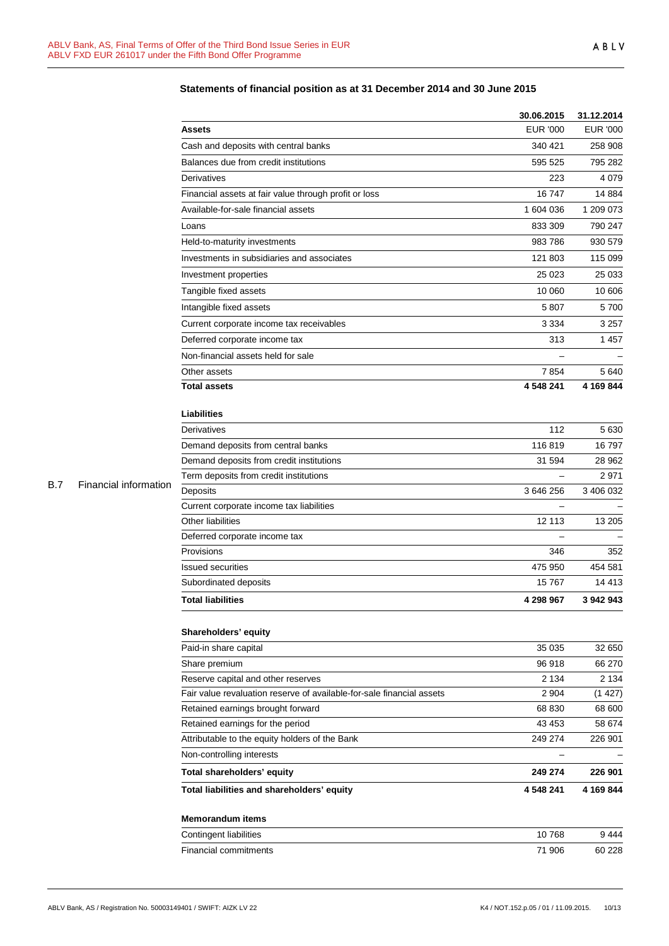|            |                       |                                                                       | 30.06.2015               | 31.12.2014      |
|------------|-----------------------|-----------------------------------------------------------------------|--------------------------|-----------------|
|            |                       | <b>Assets</b>                                                         | <b>EUR '000</b>          | <b>EUR '000</b> |
|            |                       | Cash and deposits with central banks                                  | 340 421                  | 258 908         |
|            |                       | Balances due from credit institutions                                 | 595 525                  | 795 282         |
|            |                       | Derivatives                                                           | 223                      | 4 0 7 9         |
|            |                       | Financial assets at fair value through profit or loss                 | 16747                    | 14 8 84         |
|            |                       | Available-for-sale financial assets                                   | 1 604 036                | 1 209 073       |
|            |                       | Loans                                                                 | 833 309                  | 790 247         |
|            |                       | Held-to-maturity investments                                          | 983 786                  | 930 579         |
|            |                       | Investments in subsidiaries and associates                            | 121 803                  | 115 099         |
|            |                       | Investment properties                                                 | 25 0 23                  | 25 033          |
|            |                       | Tangible fixed assets                                                 | 10 060                   | 10 606          |
|            |                       | Intangible fixed assets                                               | 5 807                    | 5700            |
|            |                       | Current corporate income tax receivables                              | 3 3 3 4                  | 3 2 5 7         |
|            |                       | Deferred corporate income tax                                         | 313                      | 1457            |
|            |                       | Non-financial assets held for sale                                    |                          |                 |
|            |                       | Other assets                                                          | 7854                     | 5640            |
|            |                       | <b>Total assets</b>                                                   | 4 548 241                | 4 169 844       |
|            |                       | <b>Liabilities</b>                                                    |                          |                 |
|            |                       | Derivatives                                                           | 112                      | 5630            |
|            |                       | Demand deposits from central banks                                    | 116819                   | 16797           |
|            |                       | Demand deposits from credit institutions                              | 31 594                   | 28 962          |
|            |                       | Term deposits from credit institutions                                |                          | 2971            |
| <b>B.7</b> | Financial information | Deposits                                                              | 3 646 256                | 3 406 032       |
|            |                       | Current corporate income tax liabilities                              |                          |                 |
|            |                       | Other liabilities                                                     | 12 113                   | 13 205          |
|            |                       | Deferred corporate income tax                                         |                          |                 |
|            |                       | Provisions                                                            | 346                      | 352             |
|            |                       | <b>Issued securities</b>                                              | 475 950                  | 454 581         |
|            |                       | Subordinated deposits                                                 | 15767                    | 14 4 13         |
|            |                       | <b>Total liabilities</b>                                              | 4 298 967                | 3 942 943       |
|            |                       | Shareholders' equity                                                  |                          |                 |
|            |                       | Paid-in share capital                                                 | 35 0 35                  | 32 650          |
|            |                       | Share premium                                                         | 96 918                   | 66 270          |
|            |                       | Reserve capital and other reserves                                    | 2 1 3 4                  | 2 1 3 4         |
|            |                       | Fair value revaluation reserve of available-for-sale financial assets | 2 9 0 4                  | (1427)          |
|            |                       | Retained earnings brought forward                                     | 68 830                   | 68 600          |
|            |                       | Retained earnings for the period                                      | 43 453                   | 58 674          |
|            |                       | Attributable to the equity holders of the Bank                        | 249 274                  | 226 901         |
|            |                       | Non-controlling interests                                             | $\overline{\phantom{0}}$ |                 |
|            |                       | Total shareholders' equity                                            | 249 274                  | 226 901         |
|            |                       | Total liabilities and shareholders' equity                            | 4 548 241                | 4 169 844       |
|            |                       | <b>Memorandum items</b>                                               |                          |                 |
|            |                       | Contingent liabilities                                                | 10768                    | 9444            |
|            |                       | Financial commitments                                                 | 71 906                   | 60 228          |

# **Statements of financial position as at 31 December 2014 and 30 June 2015**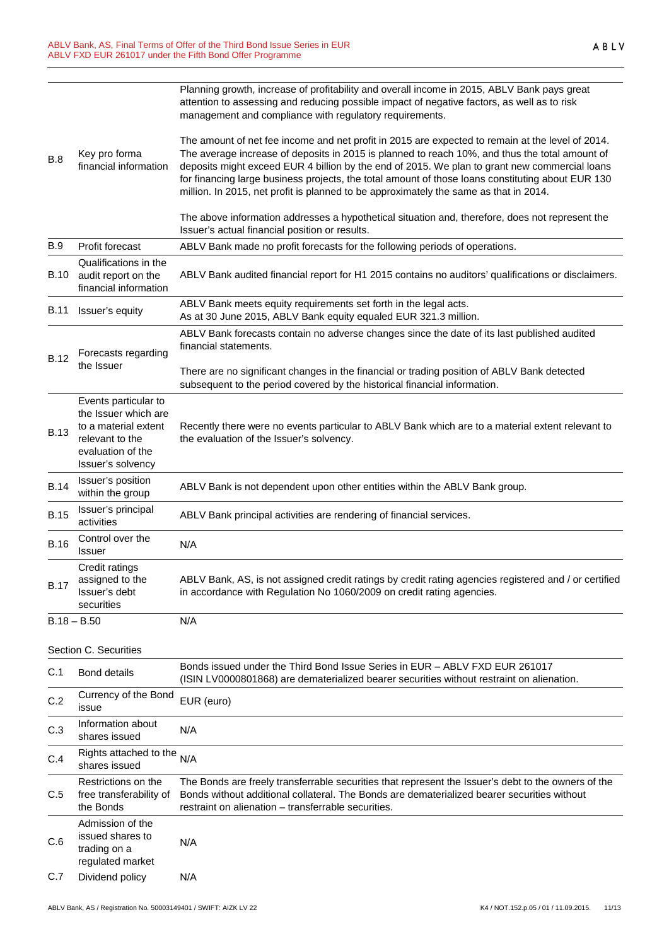|             |                                                                                         | Planning growth, increase of profitability and overall income in 2015, ABLV Bank pays great<br>attention to assessing and reducing possible impact of negative factors, as well as to risk<br>management and compliance with regulatory requirements.                                                                                                                                                                                                                                             |
|-------------|-----------------------------------------------------------------------------------------|---------------------------------------------------------------------------------------------------------------------------------------------------------------------------------------------------------------------------------------------------------------------------------------------------------------------------------------------------------------------------------------------------------------------------------------------------------------------------------------------------|
| <b>B.8</b>  | Key pro forma<br>financial information                                                  | The amount of net fee income and net profit in 2015 are expected to remain at the level of 2014.<br>The average increase of deposits in 2015 is planned to reach 10%, and thus the total amount of<br>deposits might exceed EUR 4 billion by the end of 2015. We plan to grant new commercial loans<br>for financing large business projects, the total amount of those loans constituting about EUR 130<br>million. In 2015, net profit is planned to be approximately the same as that in 2014. |
|             |                                                                                         | The above information addresses a hypothetical situation and, therefore, does not represent the<br>Issuer's actual financial position or results.                                                                                                                                                                                                                                                                                                                                                 |
| <b>B.9</b>  | Profit forecast                                                                         | ABLV Bank made no profit forecasts for the following periods of operations.                                                                                                                                                                                                                                                                                                                                                                                                                       |
| <b>B.10</b> | Qualifications in the<br>audit report on the<br>financial information                   | ABLV Bank audited financial report for H1 2015 contains no auditors' qualifications or disclaimers.                                                                                                                                                                                                                                                                                                                                                                                               |
| <b>B.11</b> | Issuer's equity                                                                         | ABLV Bank meets equity requirements set forth in the legal acts.<br>As at 30 June 2015, ABLV Bank equity equaled EUR 321.3 million.                                                                                                                                                                                                                                                                                                                                                               |
| <b>B.12</b> | Forecasts regarding                                                                     | ABLV Bank forecasts contain no adverse changes since the date of its last published audited<br>financial statements.                                                                                                                                                                                                                                                                                                                                                                              |
|             | the Issuer                                                                              | There are no significant changes in the financial or trading position of ABLV Bank detected<br>subsequent to the period covered by the historical financial information.                                                                                                                                                                                                                                                                                                                          |
| <b>B.13</b> | Events particular to<br>the Issuer which are<br>to a material extent<br>relevant to the | Recently there were no events particular to ABLV Bank which are to a material extent relevant to<br>the evaluation of the Issuer's solvency.                                                                                                                                                                                                                                                                                                                                                      |
|             | evaluation of the<br>Issuer's solvency                                                  |                                                                                                                                                                                                                                                                                                                                                                                                                                                                                                   |
| <b>B.14</b> | Issuer's position<br>within the group                                                   | ABLV Bank is not dependent upon other entities within the ABLV Bank group.                                                                                                                                                                                                                                                                                                                                                                                                                        |
| <b>B.15</b> | Issuer's principal<br>activities                                                        | ABLV Bank principal activities are rendering of financial services.                                                                                                                                                                                                                                                                                                                                                                                                                               |
| <b>B.16</b> | Control over the<br>Issuer                                                              | N/A                                                                                                                                                                                                                                                                                                                                                                                                                                                                                               |
| <b>B.17</b> | Credit ratings<br>assigned to the<br>Issuer's debt<br>securities                        | ABLV Bank, AS, is not assigned credit ratings by credit rating agencies registered and / or certified<br>in accordance with Regulation No 1060/2009 on credit rating agencies.                                                                                                                                                                                                                                                                                                                    |
|             | $B.18 - B.50$                                                                           | N/A                                                                                                                                                                                                                                                                                                                                                                                                                                                                                               |
|             | Section C. Securities                                                                   |                                                                                                                                                                                                                                                                                                                                                                                                                                                                                                   |
| C.1         | <b>Bond details</b>                                                                     | Bonds issued under the Third Bond Issue Series in EUR - ABLV FXD EUR 261017<br>(ISIN LV0000801868) are dematerialized bearer securities without restraint on alienation.                                                                                                                                                                                                                                                                                                                          |
| C.2         | Currency of the Bond<br>issue                                                           | EUR (euro)                                                                                                                                                                                                                                                                                                                                                                                                                                                                                        |
| C.3         | Information about<br>shares issued                                                      | N/A                                                                                                                                                                                                                                                                                                                                                                                                                                                                                               |
| C.4         | Rights attached to the<br>shares issued                                                 | N/A                                                                                                                                                                                                                                                                                                                                                                                                                                                                                               |
| C.5         | Restrictions on the<br>free transferability of<br>the Bonds                             | The Bonds are freely transferrable securities that represent the Issuer's debt to the owners of the<br>Bonds without additional collateral. The Bonds are dematerialized bearer securities without<br>restraint on alienation – transferrable securities.                                                                                                                                                                                                                                         |
| C.6         | Admission of the<br>issued shares to<br>trading on a<br>regulated market                | N/A                                                                                                                                                                                                                                                                                                                                                                                                                                                                                               |
| C.7         | Dividend policy                                                                         | N/A                                                                                                                                                                                                                                                                                                                                                                                                                                                                                               |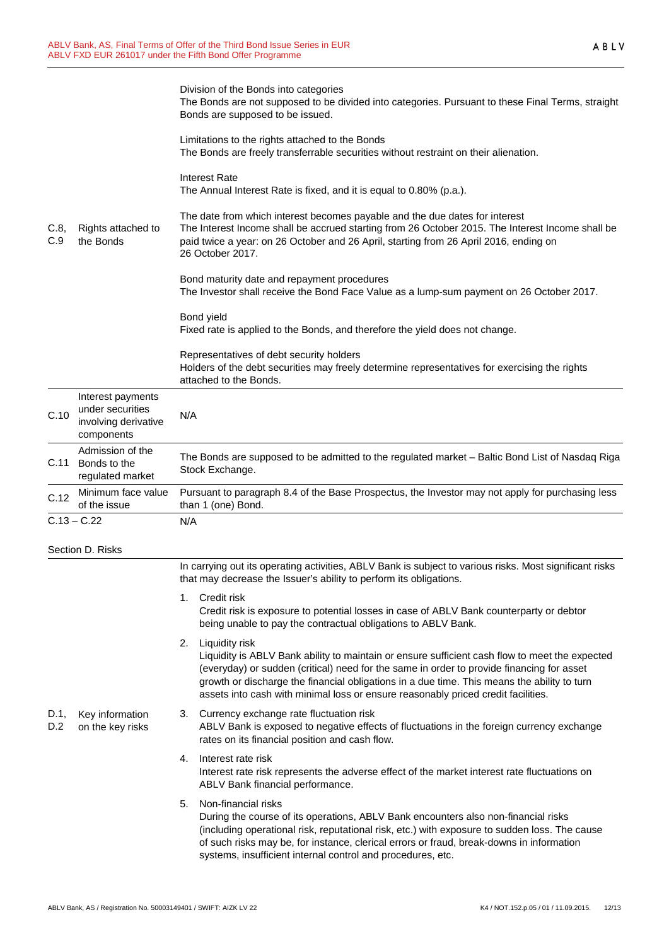|             |                                                                             | Division of the Bonds into categories<br>The Bonds are not supposed to be divided into categories. Pursuant to these Final Terms, straight<br>Bonds are supposed to be issued.<br>Limitations to the rights attached to the Bonds                                                                                                                                                                    |
|-------------|-----------------------------------------------------------------------------|------------------------------------------------------------------------------------------------------------------------------------------------------------------------------------------------------------------------------------------------------------------------------------------------------------------------------------------------------------------------------------------------------|
|             |                                                                             | The Bonds are freely transferrable securities without restraint on their alienation.                                                                                                                                                                                                                                                                                                                 |
|             |                                                                             | <b>Interest Rate</b><br>The Annual Interest Rate is fixed, and it is equal to 0.80% (p.a.).                                                                                                                                                                                                                                                                                                          |
| C.8,<br>C.9 | Rights attached to<br>the Bonds                                             | The date from which interest becomes payable and the due dates for interest<br>The Interest Income shall be accrued starting from 26 October 2015. The Interest Income shall be<br>paid twice a year: on 26 October and 26 April, starting from 26 April 2016, ending on<br>26 October 2017.                                                                                                         |
|             |                                                                             | Bond maturity date and repayment procedures<br>The Investor shall receive the Bond Face Value as a lump-sum payment on 26 October 2017.                                                                                                                                                                                                                                                              |
|             |                                                                             | Bond yield<br>Fixed rate is applied to the Bonds, and therefore the yield does not change.                                                                                                                                                                                                                                                                                                           |
|             |                                                                             | Representatives of debt security holders<br>Holders of the debt securities may freely determine representatives for exercising the rights<br>attached to the Bonds.                                                                                                                                                                                                                                  |
| C.10        | Interest payments<br>under securities<br>involving derivative<br>components | N/A                                                                                                                                                                                                                                                                                                                                                                                                  |
| C.11        | Admission of the<br>Bonds to the<br>regulated market                        | The Bonds are supposed to be admitted to the regulated market - Baltic Bond List of Nasdaq Riga<br>Stock Exchange.                                                                                                                                                                                                                                                                                   |
| C.12        | Minimum face value<br>of the issue                                          | Pursuant to paragraph 8.4 of the Base Prospectus, the Investor may not apply for purchasing less<br>than 1 (one) Bond.                                                                                                                                                                                                                                                                               |
|             | $C.13 - C.22$                                                               | N/A                                                                                                                                                                                                                                                                                                                                                                                                  |
|             | Section D. Risks                                                            |                                                                                                                                                                                                                                                                                                                                                                                                      |
|             |                                                                             | In carrying out its operating activities, ABLV Bank is subject to various risks. Most significant risks<br>that may decrease the Issuer's ability to perform its obligations.                                                                                                                                                                                                                        |
|             |                                                                             | 1. Credit risk<br>Credit risk is exposure to potential losses in case of ABLV Bank counterparty or debtor<br>being unable to pay the contractual obligations to ABLV Bank.                                                                                                                                                                                                                           |
|             |                                                                             | 2. Liquidity risk<br>Liquidity is ABLV Bank ability to maintain or ensure sufficient cash flow to meet the expected<br>(everyday) or sudden (critical) need for the same in order to provide financing for asset<br>growth or discharge the financial obligations in a due time. This means the ability to turn<br>assets into cash with minimal loss or ensure reasonably priced credit facilities. |
| D.1,<br>D.2 | Key information<br>on the key risks                                         | Currency exchange rate fluctuation risk<br>3.<br>ABLV Bank is exposed to negative effects of fluctuations in the foreign currency exchange<br>rates on its financial position and cash flow.                                                                                                                                                                                                         |
|             |                                                                             | Interest rate risk<br>4.<br>Interest rate risk represents the adverse effect of the market interest rate fluctuations on<br>ABLV Bank financial performance.                                                                                                                                                                                                                                         |
|             |                                                                             | Non-financial risks<br>5.<br>During the course of its operations, ABLV Bank encounters also non-financial risks<br>(including operational risk, reputational risk, etc.) with exposure to sudden loss. The cause<br>of such risks may be, for instance, clerical errors or fraud, break-downs in information<br>systems, insufficient internal control and procedures, etc.                          |